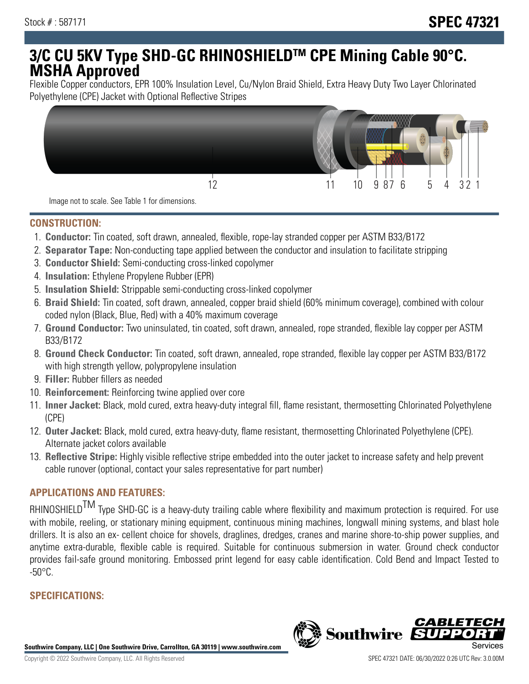# **3/C CU 5KV Type SHD-GC RHINOSHIELDTM CPE Mining Cable 90°C. MSHA Approved**

Flexible Copper conductors, EPR 100% Insulation Level, Cu/Nylon Braid Shield, Extra Heavy Duty Two Layer Chlorinated Polyethylene (CPE) Jacket with Optional Reflective Stripes



Image not to scale. See Table 1 for dimensions.

#### **CONSTRUCTION:**

- 1. **Conductor:** Tin coated, soft drawn, annealed, flexible, rope-lay stranded copper per ASTM B33/B172
- 2. **Separator Tape:** Non-conducting tape applied between the conductor and insulation to facilitate stripping
- 3. **Conductor Shield:** Semi-conducting cross-linked copolymer
- 4. **Insulation:** Ethylene Propylene Rubber (EPR)
- 5. **Insulation Shield:** Strippable semi-conducting cross-linked copolymer
- 6. **Braid Shield:** Tin coated, soft drawn, annealed, copper braid shield (60% minimum coverage), combined with colour coded nylon (Black, Blue, Red) with a 40% maximum coverage
- 7. **Ground Conductor:** Two uninsulated, tin coated, soft drawn, annealed, rope stranded, flexible lay copper per ASTM B33/B172
- 8. **Ground Check Conductor:** Tin coated, soft drawn, annealed, rope stranded, flexible lay copper per ASTM B33/B172 with high strength yellow, polypropylene insulation
- 9. **Filler:** Rubber fillers as needed
- 10. **Reinforcement:** Reinforcing twine applied over core
- 11. **Inner Jacket:** Black, mold cured, extra heavy-duty integral fill, flame resistant, thermosetting Chlorinated Polyethylene (CPE)
- 12. **Outer Jacket:** Black, mold cured, extra heavy-duty, flame resistant, thermosetting Chlorinated Polyethylene (CPE). Alternate jacket colors available
- 13. **Reflective Stripe:** Highly visible reflective stripe embedded into the outer jacket to increase safety and help prevent cable runover (optional, contact your sales representative for part number)

## **APPLICATIONS AND FEATURES:**

RHINOSHIELD<sup>TM</sup> Type SHD-GC is a heavy-duty trailing cable where flexibility and maximum protection is required. For use with mobile, reeling, or stationary mining equipment, continuous mining machines, longwall mining systems, and blast hole drillers. It is also an ex- cellent choice for shovels, draglines, dredges, cranes and marine shore-to-ship power supplies, and anytime extra-durable, flexible cable is required. Suitable for continuous submersion in water. Ground check conductor provides fail-safe ground monitoring. Embossed print legend for easy cable identification. Cold Bend and Impact Tested to  $-50^{\circ}$ C.

### **SPECIFICATIONS:**

**Southwire Company, LLC | One Southwire Drive, Carrollton, GA 30119 | www.southwire.com**

**Southwire** 

CABL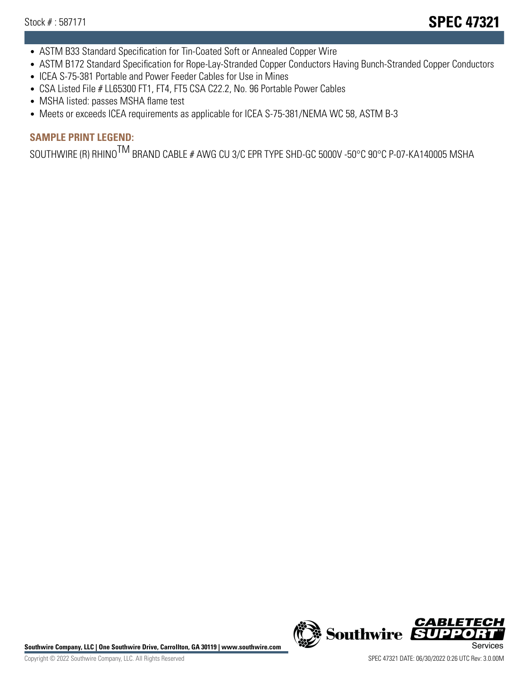- ASTM B33 Standard Specification for Tin-Coated Soft or Annealed Copper Wire
- ASTM B172 Standard Specification for Rope-Lay-Stranded Copper Conductors Having Bunch-Stranded Copper Conductors
- ICEA S-75-381 Portable and Power Feeder Cables for Use in Mines
- CSA Listed File # LL65300 FT1, FT4, FT5 CSA C22.2, No. 96 Portable Power Cables
- MSHA listed: passes MSHA flame test
- Meets or exceeds ICEA requirements as applicable for ICEA S-75-381/NEMA WC 58, ASTM B-3

# **SAMPLE PRINT LEGEND:**

SOUTHWIRE (R) RHINO<sup>TM</sup> BRAND CABLE # AWG CU 3/C EPR TYPE SHD-GC 5000V -50°C 90°C P-07-KA140005 MSHA

Southwire Company, LLC | One Southwire Drive, Carrollton, GA 30119 | www.southwire.com **Second Company, COVID Services** 



CABL